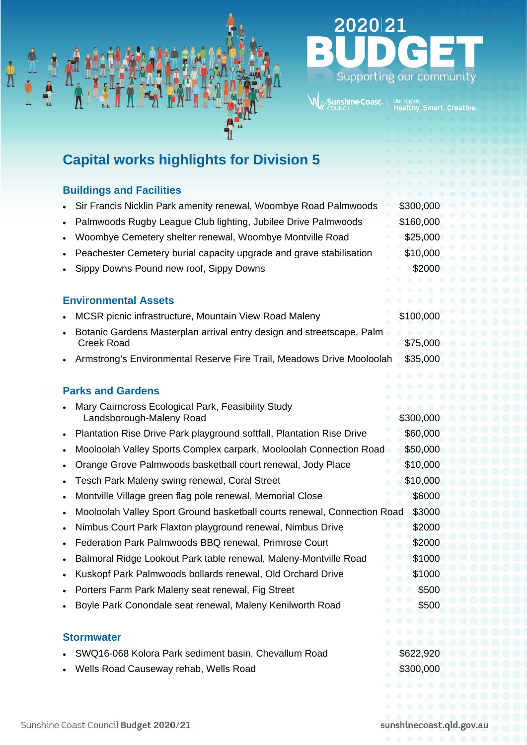



# **Capital works highlights for Division 5**

## **Buildings and Facilities**

- Sir Francis Nicklin Park amenity renewal, Woombye Road Palmwoods \$300,000
- Palmwoods Rugby League Club lighting, Jubilee Drive Palmwoods \$160,000
- Woombye Cemetery shelter renewal, Woombye Montville Road \$25,000
- Peachester Cemetery burial capacity upgrade and grave stabilisation \$10,000
- 
- Sippy Downs Pound new roof, Sippy Downs \$2000

#### **Environmental Assets**

- MCSR picnic infrastructure, Mountain View Road Maleny \$100,000
- Botanic Gardens Masterplan arrival entry design and streetscape, Palm Creek Road \$75,000
- Armstrong's Environmental Reserve Fire Trail, Meadows Drive Mooloolah \$35,000

## **Parks and Gardens**

- Mary Cairncross Ecological Park, Feasibility Study Landsborough-Maleny Road \$300,000
- Plantation Rise Drive Park playground softfall, Plantation Rise Drive \$60,000
- Mooloolah Valley Sports Complex carpark, Mooloolah Connection Road \$50,000
- Orange Grove Palmwoods basketball court renewal, Jody Place \$10,000
- **Fesch Park Maleny swing renewal, Coral Street \$10,000 \$10,000**
- Montville Village green flag pole renewal, Memorial Close \$6000
- Mooloolah Valley Sport Ground basketball courts renewal, Connection Road \$3000
- Nimbus Court Park Flaxton playground renewal, Nimbus Drive \$2000
- Federation Park Palmwoods BBQ renewal, Primrose Court \$2000
- Balmoral Ridge Lookout Park table renewal, Maleny-Montville Road \$1000
- Kuskopf Park Palmwoods bollards renewal, Old Orchard Drive \$1000
- **Porters Farm Park Maleny seat renewal, Fig Street \$500 \$500**
- Boyle Park Conondale seat renewal, Maleny Kenilworth Road \$500

#### **Stormwater**

- SWQ16-068 Kolora Park sediment basin, Chevallum Road \$622,920
- **Viells Road Causeway rehab, Wells Road 6300,000 \$300,000**